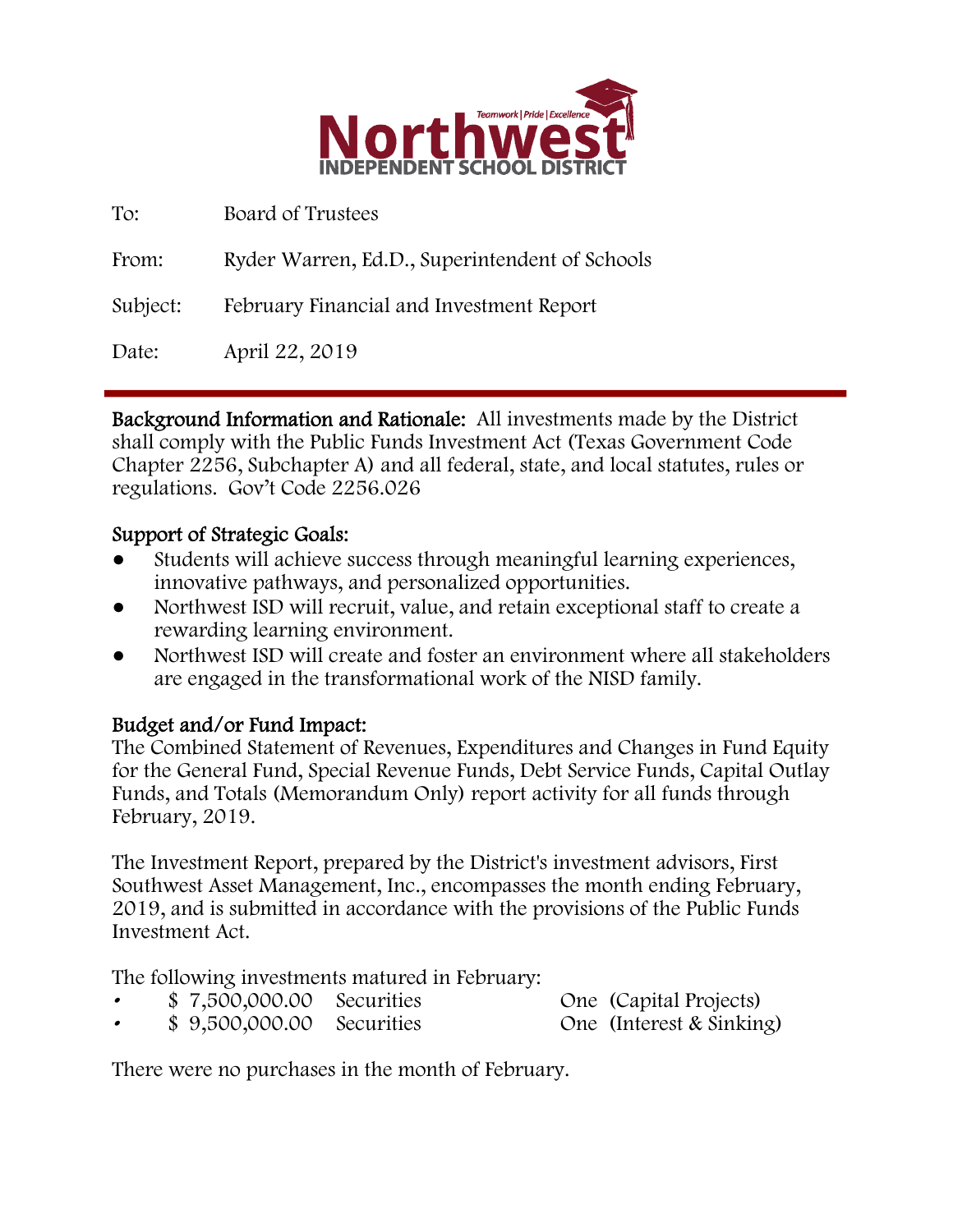

| To:      | Board of Trustees                              |
|----------|------------------------------------------------|
| From:    | Ryder Warren, Ed.D., Superintendent of Schools |
| Subject: | February Financial and Investment Report       |
| Date:    | April 22, 2019                                 |

Background Information and Rationale: All investments made by the District shall comply with the Public Funds Investment Act (Texas Government Code Chapter 2256, Subchapter A) and all federal, state, and local statutes, rules or regulations. Gov't Code 2256.026

# Support of Strategic Goals:

- Students will achieve success through meaningful learning experiences, innovative pathways, and personalized opportunities.
- Northwest ISD will recruit, value, and retain exceptional staff to create a rewarding learning environment.
- Northwest ISD will create and foster an environment where all stakeholders are engaged in the transformational work of the NISD family.

# Budget and/or Fund Impact:

The Combined Statement of Revenues, Expenditures and Changes in Fund Equity for the General Fund, Special Revenue Funds, Debt Service Funds, Capital Outlay Funds, and Totals (Memorandum Only) report activity for all funds through February, 2019.

The Investment Report, prepared by the District's investment advisors, First Southwest Asset Management, Inc., encompasses the month ending February, 2019, and is submitted in accordance with the provisions of the Public Funds Investment Act.

The following investments matured in February:

- \$ 7,500,000.00 Securities One (Capital Projects)
- \$ 9,500,000.00 Securities One (Interest & Sinking)

There were no purchases in the month of February.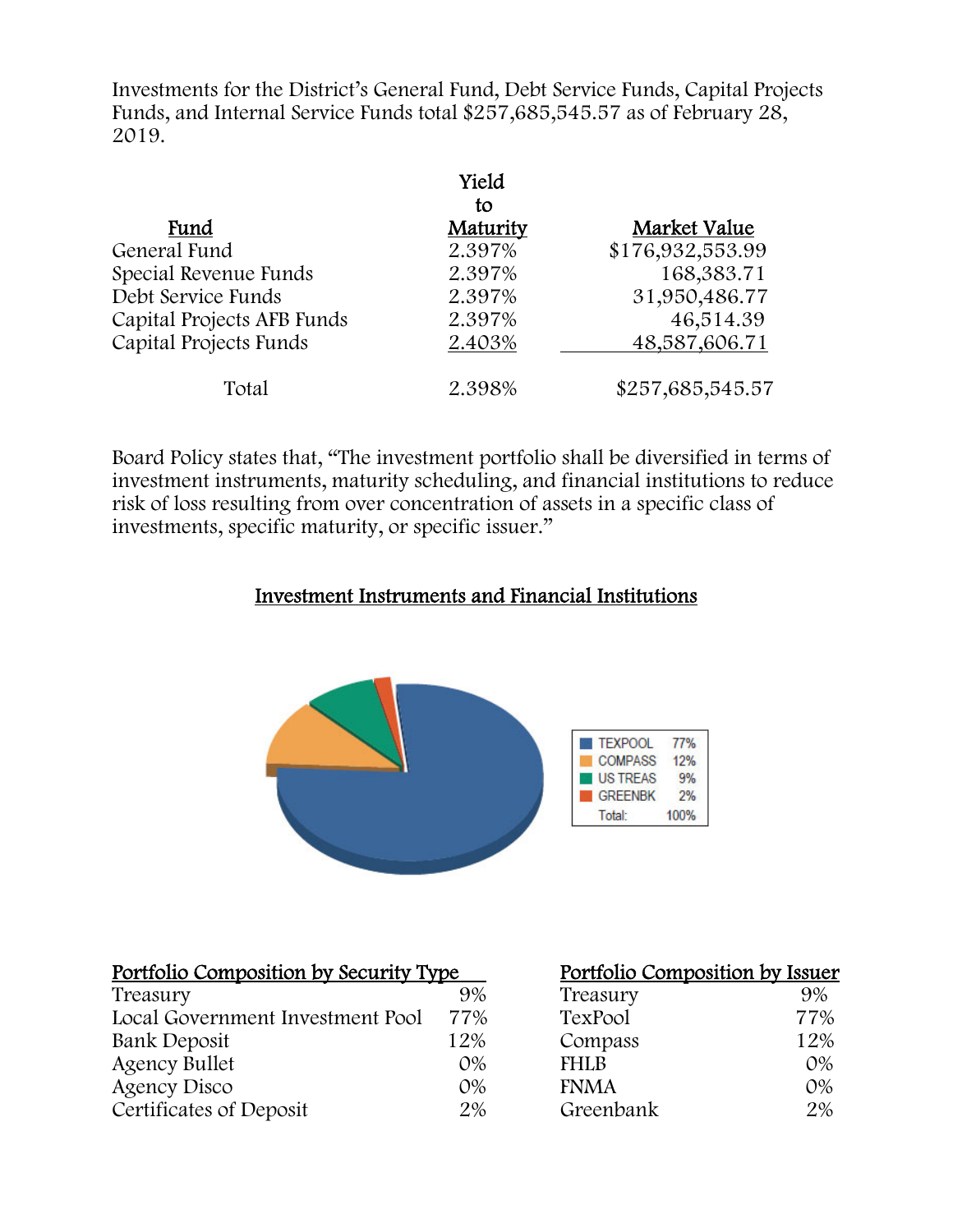Investments for the District's General Fund, Debt Service Funds, Capital Projects Funds, and Internal Service Funds total \$257,685,545.57 as of February 28, 2019.

|                            | Yield          |                  |
|----------------------------|----------------|------------------|
| Fund                       | to<br>Maturity | Market Value     |
| General Fund               | 2.397%         | \$176,932,553.99 |
| Special Revenue Funds      | 2.397%         | 168,383.71       |
| Debt Service Funds         | 2.397%         | 31,950,486.77    |
| Capital Projects AFB Funds | 2.397%         | 46,514.39        |
| Capital Projects Funds     | 2.403%         | 48,587,606.71    |
| Total                      | 2.398%         | \$257,685,545.57 |

Board Policy states that, "The investment portfolio shall be diversified in terms of investment instruments, maturity scheduling, and financial institutions to reduce risk of loss resulting from over concentration of assets in a specific class of investments, specific maturity, or specific issuer."

# Investment Instruments and Financial Institutions



| Portfolio Composition by Security Type | Portfolio Composition by Issuer |
|----------------------------------------|---------------------------------|
|                                        |                                 |

| Treasury                         | 9%    | Treasury    | 9%    |
|----------------------------------|-------|-------------|-------|
| Local Government Investment Pool | 77%   | TexPool     | 77%   |
| Bank Deposit                     | 12%   | Compass     | 12%   |
| Agency Bullet                    | $O\%$ | <b>FHLB</b> | $O\%$ |
| Agency Disco                     | $O\%$ | <b>FNMA</b> | $O\%$ |
| Certificates of Deposit          | 2%    | Greenbank   | 2%    |

| Portfolio Composition by Issuer |       |
|---------------------------------|-------|
| Treasury                        | 9%    |
| TexPool                         | 77%   |
| Compass                         | 12%   |
| <b>FHLB</b>                     | $O\%$ |
| <b>FNMA</b>                     | $O\%$ |
| Greenbank                       | 2%    |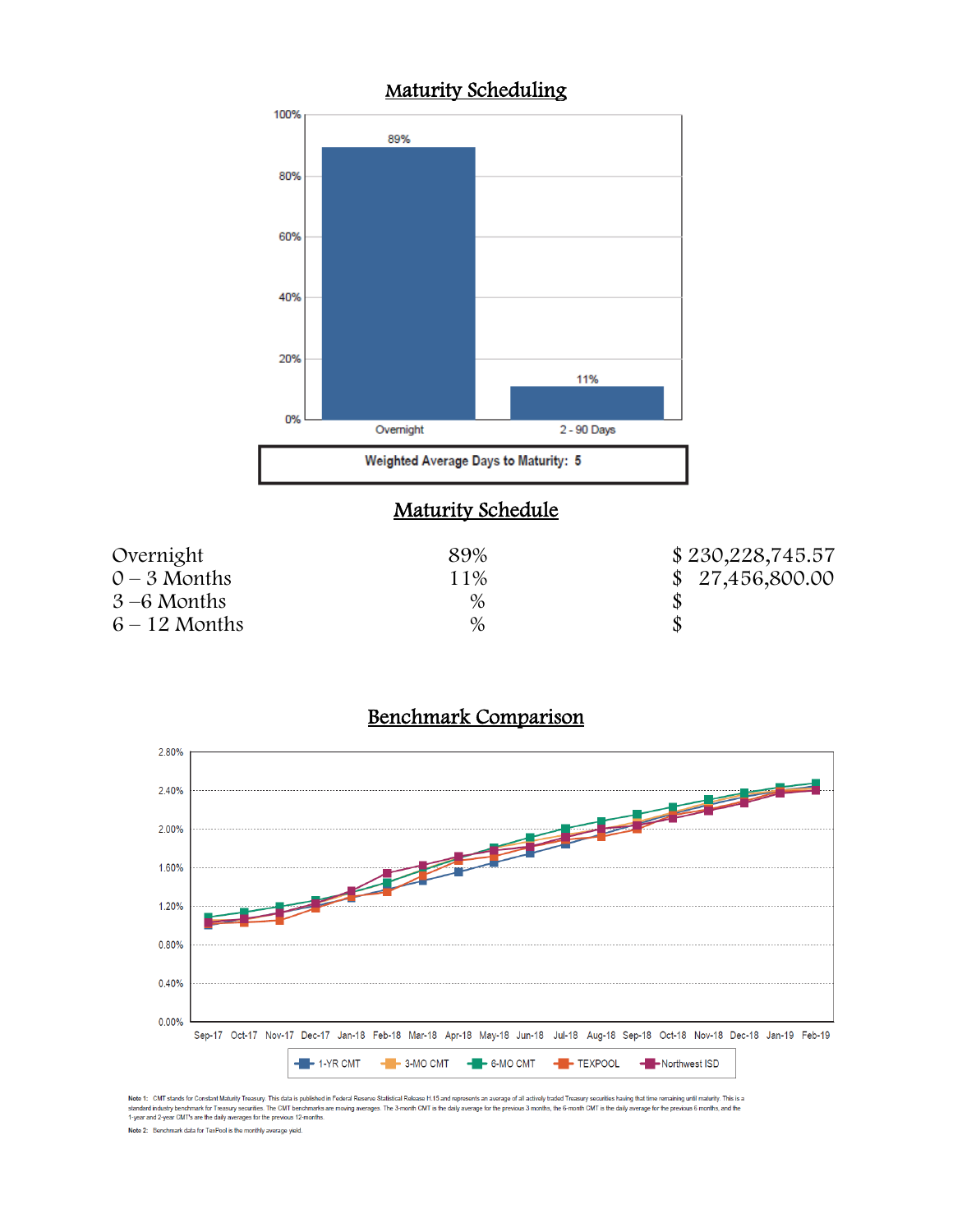

# Maturity Schedule

| Overnight      | 89% | \$230,228,745.57 |
|----------------|-----|------------------|
| $0 - 3$ Months | 11% | \$27,456,800.00  |
| $3-6$ Months   | %   |                  |
| $6-12$ Months  | %   |                  |

#### Benchmark Comparison



Note 1: CMT stands for Constant Maturity Treasury. This data is published in Federal Reserve Statistical Release H.15 and represents an average of all actively traded Treasury securities having that time remaining until ma

Note 2: Benchmark data for TexPool is the monthly average yield.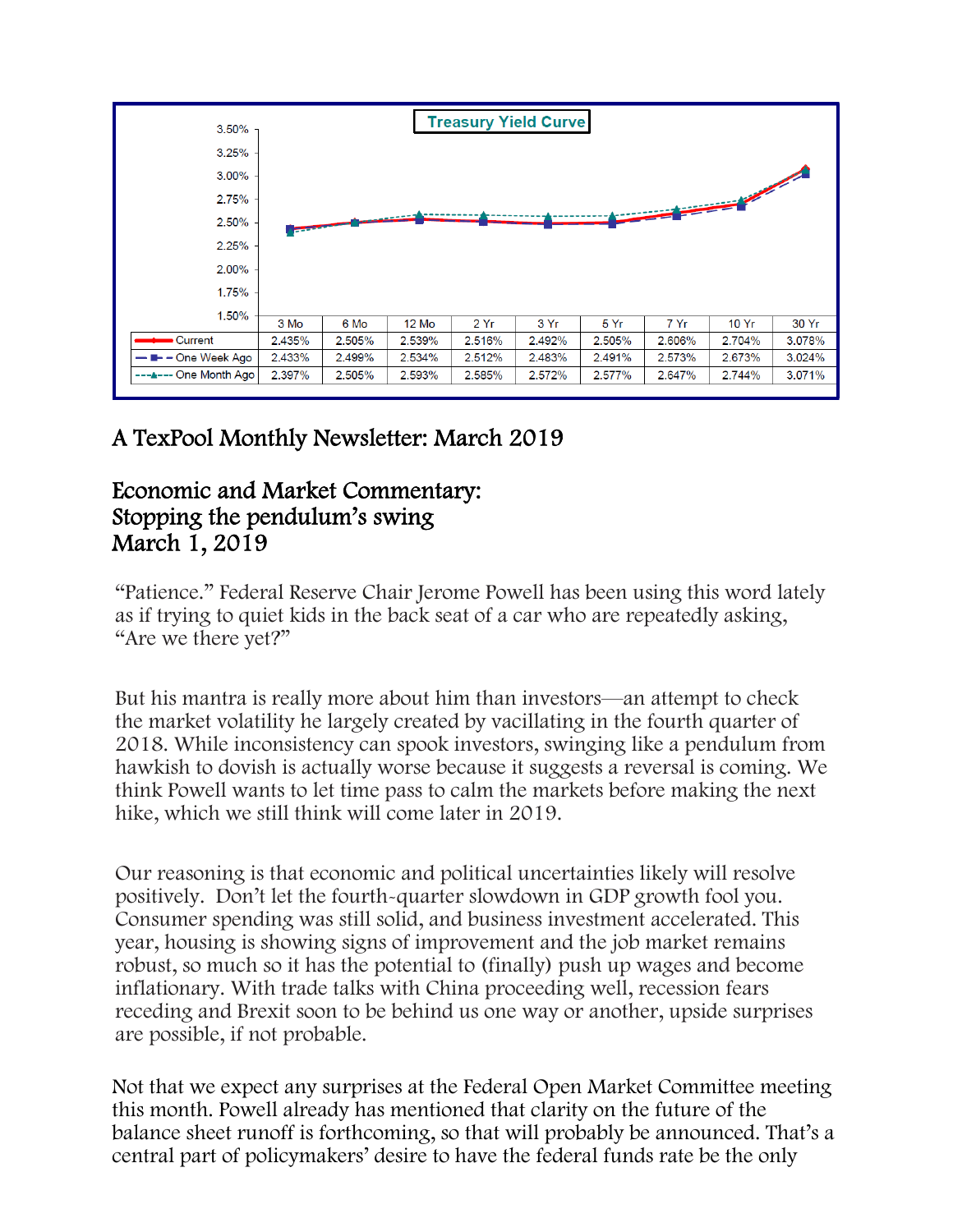

# A TexPool Monthly Newsletter: March 2019

# Economic and Market Commentary: Stopping the pendulum's swing March 1, 2019

"Patience." Federal Reserve Chair Jerome Powell has been using this word lately as if trying to quiet kids in the back seat of a car who are repeatedly asking, "Are we there yet?"

But his mantra is really more about him than investors—an attempt to check the market volatility he largely created by vacillating in the fourth quarter of 2018. While inconsistency can spook investors, swinging like a pendulum from hawkish to dovish is actually worse because it suggests a reversal is coming. We think Powell wants to let time pass to calm the markets before making the next hike, which we still think will come later in 2019.

Our reasoning is that economic and political uncertainties likely will resolve positively. Don't let the fourth-quarter slowdown in GDP growth fool you. Consumer spending was still solid, and business investment accelerated. This year, housing is showing signs of improvement and the job market remains robust, so much so it has the potential to (finally) push up wages and become inflationary. With trade talks with China proceeding well, recession fears receding and Brexit soon to be behind us one way or another, upside surprises are possible, if not probable.

Not that we expect any surprises at the Federal Open Market Committee meeting this month. Powell already has mentioned that clarity on the future of the balance sheet runoff is forthcoming, so that will probably be announced. That's a central part of policymakers' desire to have the federal funds rate be the only